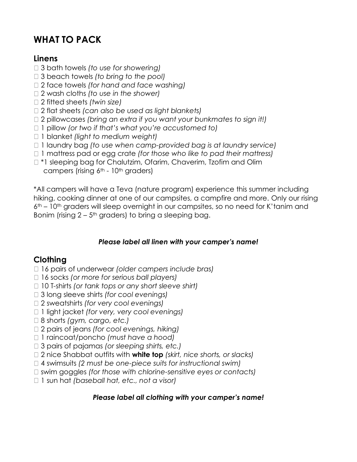# **WHAT TO PACK**

#### **Linens**

- 3 bath towels *(to use for showering)*
- 3 beach towels *(to bring to the pool)*
- 2 face towels *(for hand and face washing)*
- 2 wash cloths *(to use in the shower)*
- 2 fitted sheets *(twin size)*
- 2 flat sheets *(can also be used as light blankets)*
- □ 2 pillowcases *(bring an extra if you want your bunkmates to sign it!)*
- 1 pillow *(or two if that's what you're accustomed to)*
- 1 blanket *(light to medium weight)*
- □ 1 laundry bag *(to use when camp-provided bag is at laundry service)*
- 1 mattress pad or egg crate *(for those who like to pad their mattress)*
- □ \*1 sleeping bag for Chalutzim, Ofarim, Chaverim, Tzofim and Olim campers (rising  $6<sup>th</sup>$  -  $10<sup>th</sup>$  graders)

\*All campers will have a Teva (nature program) experience this summer including hiking, cooking dinner at one of our campsites, a campfire and more. Only our rising  $6<sup>th</sup>$  – 10<sup>th</sup> graders will sleep overnight in our campsites, so no need for K'tanim and Bonim (rising  $2 - 5$ <sup>th</sup> graders) to bring a sleeping bag.

#### *Please label all linen with your camper's name!*

# **Clothing**

- 16 pairs of underwear *(older campers include bras)*
- 16 socks *(or more for serious ball players)*
- □ 10 T-shirts *(or tank tops or any short sleeve shirt)*
- 3 long sleeve shirts *(for cool evenings)*
- 2 sweatshirts *(for very cool evenings)*
- 1 light jacket *(for very, very cool evenings)*
- 8 shorts *(gym, cargo, etc.)*
- 2 pairs of jeans *(for cool evenings, hiking)*
- 1 raincoat/poncho *(must have a hood)*
- 3 pairs of pajamas *(or sleeping shirts, etc.)*
- 2 nice Shabbat outfits with **white top** *(skirt, nice shorts, or slacks)*
- 4 swimsuits *(2 must be one-piece suits for instructional swim)*
- □ swim goggles *(for those with chlorine-sensitive eyes or contacts)*
- 1 sun hat *(baseball hat, etc., not a visor)*

#### *Please label all clothing with your camper's name!*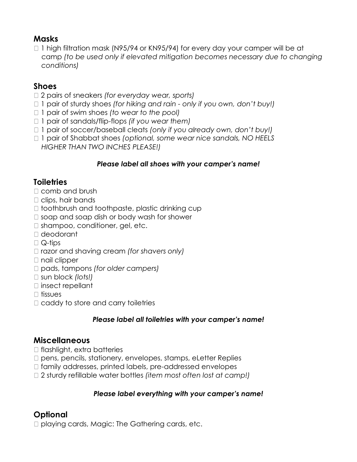# **Masks**

□ 1 high filtration mask (N95/94 or KN95/94) for every day your camper will be at camp *(to be used only if elevated mitigation becomes necessary due to changing conditions)*

# **Shoes**

- 2 pairs of sneakers *(for everyday wear, sports)*
- 1 pair of sturdy shoes *(for hiking and rain - only if you own, don't buy!)*
- 1 pair of swim shoes *(to wear to the pool)*
- 1 pair of sandals/flip-flops *(if you wear them)*
- 1 pair of soccer/baseball cleats *(only if you already own, don't buy!)*
- □ 1 pair of Shabbat shoes *(optional, some wear nice sandals, NO HEELS HIGHER THAN TWO INCHES PLEASE!)*

#### *Please label all shoes with your camper's name!*

### **Toiletries**

- □ comb and brush
- $\Box$  clips, hair bands
- $\Box$  toothbrush and toothpaste, plastic drinking cup
- $\Box$  soap and soap dish or body wash for shower
- $\Box$  shampoo, conditioner, gel, etc.
- □ deodorant
- $\Box$  Q-tips
- □ razor and shaving cream *(for shavers only)*
- $\Box$  nail clipper
- pads, tampons *(for older campers)*
- sun block *(lots!)*
- $\square$  insect repellant
- $\Box$  tissues
- $\Box$  caddy to store and carry toiletries

#### *Please label all toiletries with your camper's name!*

#### **Miscellaneous**

- $\Box$  flashlight, extra batteries
- $\Box$  pens, pencils, stationery, envelopes, stamps, eLetter Replies
- $\Box$  family addresses, printed labels, pre-addressed envelopes
- 2 sturdy refillable water bottles *(item most often lost at camp!)*

#### *Please label everything with your camper's name!*

# **Optional**

□ playing cards, Magic: The Gathering cards, etc.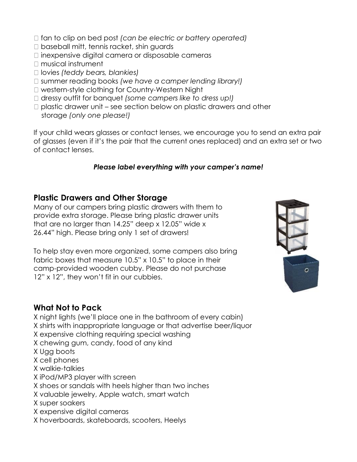- fan to clip on bed post *(can be electric or battery operated)*
- □ baseball mitt, tennis racket, shin quards
- $\Box$  inexpensive digital camera or disposable cameras
- □ musical instrument
- lovies *(teddy bears, blankies)*
- summer reading books *(we have a camper lending library!)*
- □ western-style clothing for Country-Western Night
- dressy outfit for banquet *(some campers like to dress up!)*
- $\Box$  plastic drawer unit see section below on plastic drawers and other storage *(only one please!)*

If your child wears glasses or contact lenses, we encourage you to send an extra pair of glasses (even if it's the pair that the current ones replaced) and an extra set or two of contact lenses.

#### *Please label everything with your camper's name!*

### **Plastic Drawers and Other Storage**

Many of our campers bring plastic drawers with them to provide extra storage. Please bring plastic drawer units that are no larger than 14.25" deep x 12.05" wide x 26.44" high. Please bring only 1 set of drawers!

To help stay even more organized, some campers also bring fabric boxes that measure 10.5" x 10.5" to place in their camp-provided wooden cubby. Please do not purchase 12" x 12", they won't fit in our cubbies.



# **What Not to Pack**

X night lights (we'll place one in the bathroom of every cabin) X shirts with inappropriate language or that advertise beer/liquor X expensive clothing requiring special washing X chewing gum, candy, food of any kind X Ugg boots X cell phones X walkie-talkies X iPod/MP3 player with screen X shoes or sandals with heels higher than two inches X valuable jewelry, Apple watch, smart watch X super soakers

- X expensive digital cameras
- X hoverboards, skateboards, scooters, Heelys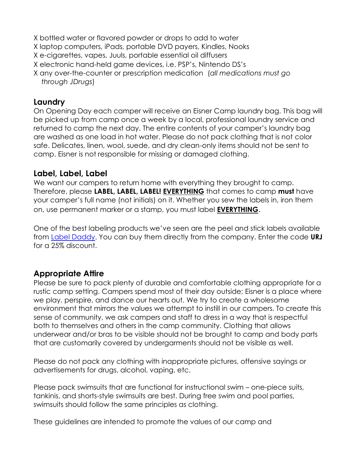- X bottled water or flavored powder or drops to add to water
- X laptop computers, iPads, portable DVD payers, Kindles, Nooks
- X e-cigarettes, vapes, Juuls, portable essential oil diffusers
- X electronic hand-held game devices, i.e. PSP's, Nintendo DS's
- X any over-the-counter or prescription medication (*all medications must go through JDrugs*)

### **Laundry**

On Opening Day each camper will receive an Eisner Camp laundry bag. This bag will be picked up from camp once a week by a local, professional laundry service and returned to camp the next day. The entire contents of your camper's laundry bag are washed as one load in hot water. Please do not pack clothing that is not color safe. Delicates, linen, wool, suede, and dry clean-only items should not be sent to camp. Eisner is not responsible for missing or damaged clothing.

# **Label, Label, Label**

We want our campers to return home with everything they brought to camp. Therefore, please **LABEL, LABEL, LABEL! EVERYTHING** that comes to camp **must** have your camper's full name (not initials) on it. Whether you sew the labels in, iron them on, use permanent marker or a stamp, you must label **EVERYTHING**.

One of the best labeling products we've seen are the peel and stick labels available from [Label Daddy.](http://www.labeldaddy.com/) You can buy them directly from the company. Enter the code **URJ** for a 25% discount.

# **Appropriate Attire**

Please be sure to pack plenty of durable and comfortable clothing appropriate for a rustic camp setting. Campers spend most of their day outside; Eisner is a place where we play, perspire, and dance our hearts out. We try to create a wholesome environment that mirrors the values we attempt to instill in our campers. To create this sense of community, we ask campers and staff to dress in a way that is respectful both to themselves and others in the camp community. Clothing that allows underwear and/or bras to be visible should not be brought to camp and body parts that are customarily covered by undergarments should not be visible as well.

Please do not pack any clothing with inappropriate pictures, offensive sayings or advertisements for drugs, alcohol, vaping, etc.

Please pack swimsuits that are functional for instructional swim – one-piece suits, tankinis, and shorts-style swimsuits are best. During free swim and pool parties, swimsuits should follow the same principles as clothing.

These guidelines are intended to promote the values of our camp and